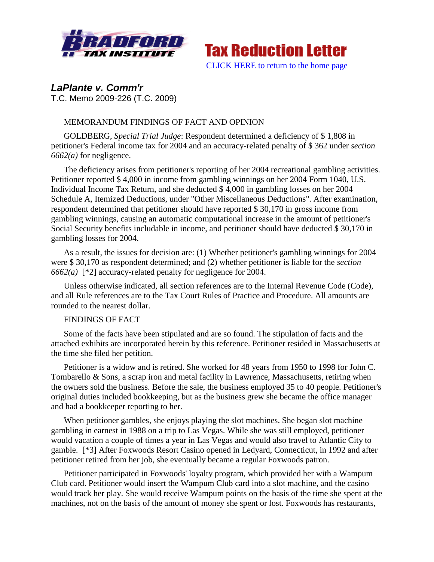



*LaPlante v. Comm'r* T.C. Memo 2009-226 (T.C. 2009)

# MEMORANDUM FINDINGS OF FACT AND OPINION

GOLDBERG, *Special Trial Judge*: Respondent determined a deficiency of \$ 1,808 in petitioner's Federal income tax for 2004 and an accuracy-related penalty of \$ 362 under *section 6662(a)* for negligence.

The deficiency arises from petitioner's reporting of her 2004 recreational gambling activities. Petitioner reported \$ 4,000 in income from gambling winnings on her 2004 Form 1040, U.S. Individual Income Tax Return, and she deducted \$ 4,000 in gambling losses on her 2004 Schedule A, Itemized Deductions, under "Other Miscellaneous Deductions". After examination, respondent determined that petitioner should have reported \$ 30,170 in gross income from gambling winnings, causing an automatic computational increase in the amount of petitioner's Social Security benefits includable in income, and petitioner should have deducted \$ 30,170 in gambling losses for 2004.

As a result, the issues for decision are: (1) Whether petitioner's gambling winnings for 2004 were \$ 30,170 as respondent determined; and (2) whether petitioner is liable for the *section 6662(a)* [\*2] accuracy-related penalty for negligence for 2004.

Unless otherwise indicated, all section references are to the Internal Revenue Code (Code), and all Rule references are to the Tax Court Rules of Practice and Procedure. All amounts are rounded to the nearest dollar.

### FINDINGS OF FACT

Some of the facts have been stipulated and are so found. The stipulation of facts and the attached exhibits are incorporated herein by this reference. Petitioner resided in Massachusetts at the time she filed her petition.

Petitioner is a widow and is retired. She worked for 48 years from 1950 to 1998 for John C. Tombarello & Sons, a scrap iron and metal facility in Lawrence, Massachusetts, retiring when the owners sold the business. Before the sale, the business employed 35 to 40 people. Petitioner's original duties included bookkeeping, but as the business grew she became the office manager and had a bookkeeper reporting to her.

When petitioner gambles, she enjoys playing the slot machines. She began slot machine gambling in earnest in 1988 on a trip to Las Vegas. While she was still employed, petitioner would vacation a couple of times a year in Las Vegas and would also travel to Atlantic City to gamble. [\*3] After Foxwoods Resort Casino opened in Ledyard, Connecticut, in 1992 and after petitioner retired from her job, she eventually became a regular Foxwoods patron.

Petitioner participated in Foxwoods' loyalty program, which provided her with a Wampum Club card. Petitioner would insert the Wampum Club card into a slot machine, and the casino would track her play. She would receive Wampum points on the basis of the time she spent at the machines, not on the basis of the amount of money she spent or lost. Foxwoods has restaurants,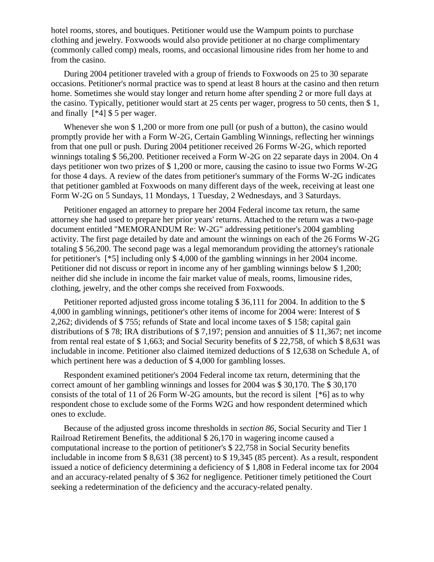hotel rooms, stores, and boutiques. Petitioner would use the Wampum points to purchase clothing and jewelry. Foxwoods would also provide petitioner at no charge complimentary (commonly called comp) meals, rooms, and occasional limousine rides from her home to and from the casino.

During 2004 petitioner traveled with a group of friends to Foxwoods on 25 to 30 separate occasions. Petitioner's normal practice was to spend at least 8 hours at the casino and then return home. Sometimes she would stay longer and return home after spending 2 or more full days at the casino. Typically, petitioner would start at 25 cents per wager, progress to 50 cents, then \$ 1, and finally [\*4] \$ 5 per wager.

Whenever she won \$1,200 or more from one pull (or push of a button), the casino would promptly provide her with a Form W-2G, Certain Gambling Winnings, reflecting her winnings from that one pull or push. During 2004 petitioner received 26 Forms W-2G, which reported winnings totaling \$ 56,200. Petitioner received a Form W-2G on 22 separate days in 2004. On 4 days petitioner won two prizes of \$ 1,200 or more, causing the casino to issue two Forms W-2G for those 4 days. A review of the dates from petitioner's summary of the Forms W-2G indicates that petitioner gambled at Foxwoods on many different days of the week, receiving at least one Form W-2G on 5 Sundays, 11 Mondays, 1 Tuesday, 2 Wednesdays, and 3 Saturdays.

Petitioner engaged an attorney to prepare her 2004 Federal income tax return, the same attorney she had used to prepare her prior years' returns. Attached to the return was a two-page document entitled "MEMORANDUM Re: W-2G" addressing petitioner's 2004 gambling activity. The first page detailed by date and amount the winnings on each of the 26 Forms W-2G totaling \$ 56,200. The second page was a legal memorandum providing the attorney's rationale for petitioner's [\*5] including only \$ 4,000 of the gambling winnings in her 2004 income. Petitioner did not discuss or report in income any of her gambling winnings below \$ 1,200; neither did she include in income the fair market value of meals, rooms, limousine rides, clothing, jewelry, and the other comps she received from Foxwoods.

Petitioner reported adjusted gross income totaling \$36,111 for 2004. In addition to the \$ 4,000 in gambling winnings, petitioner's other items of income for 2004 were: Interest of \$ 2,262; dividends of \$ 755; refunds of State and local income taxes of \$ 158; capital gain distributions of \$ 78; IRA distributions of \$ 7,197; pension and annuities of \$ 11,367; net income from rental real estate of \$ 1,663; and Social Security benefits of \$ 22,758, of which \$ 8,631 was includable in income. Petitioner also claimed itemized deductions of \$ 12,638 on Schedule A, of which pertinent here was a deduction of \$4,000 for gambling losses.

Respondent examined petitioner's 2004 Federal income tax return, determining that the correct amount of her gambling winnings and losses for 2004 was \$ 30,170. The \$ 30,170 consists of the total of 11 of 26 Form W-2G amounts, but the record is silent [\*6] as to why respondent chose to exclude some of the Forms W2G and how respondent determined which ones to exclude.

Because of the adjusted gross income thresholds in *section 86*, Social Security and Tier 1 Railroad Retirement Benefits, the additional \$ 26,170 in wagering income caused a computational increase to the portion of petitioner's \$ 22,758 in Social Security benefits includable in income from \$ 8,631 (38 percent) to \$ 19,345 (85 percent). As a result, respondent issued a notice of deficiency determining a deficiency of \$ 1,808 in Federal income tax for 2004 and an accuracy-related penalty of \$ 362 for negligence. Petitioner timely petitioned the Court seeking a redetermination of the deficiency and the accuracy-related penalty.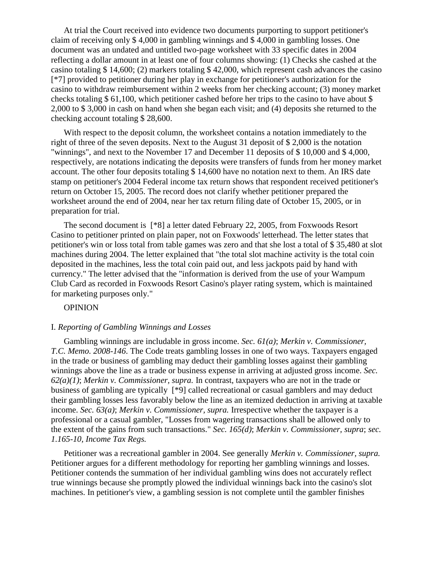At trial the Court received into evidence two documents purporting to support petitioner's claim of receiving only \$ 4,000 in gambling winnings and \$ 4,000 in gambling losses. One document was an undated and untitled two-page worksheet with 33 specific dates in 2004 reflecting a dollar amount in at least one of four columns showing: (1) Checks she cashed at the casino totaling \$ 14,600; (2) markers totaling \$ 42,000, which represent cash advances the casino [\*7] provided to petitioner during her play in exchange for petitioner's authorization for the casino to withdraw reimbursement within 2 weeks from her checking account; (3) money market checks totaling \$ 61,100, which petitioner cashed before her trips to the casino to have about \$ 2,000 to \$ 3,000 in cash on hand when she began each visit; and (4) deposits she returned to the checking account totaling \$ 28,600.

With respect to the deposit column, the worksheet contains a notation immediately to the right of three of the seven deposits. Next to the August 31 deposit of \$ 2,000 is the notation "winnings", and next to the November 17 and December 11 deposits of \$ 10,000 and \$ 4,000, respectively, are notations indicating the deposits were transfers of funds from her money market account. The other four deposits totaling \$ 14,600 have no notation next to them. An IRS date stamp on petitioner's 2004 Federal income tax return shows that respondent received petitioner's return on October 15, 2005. The record does not clarify whether petitioner prepared the worksheet around the end of 2004, near her tax return filing date of October 15, 2005, or in preparation for trial.

The second document is [\*8] a letter dated February 22, 2005, from Foxwoods Resort Casino to petitioner printed on plain paper, not on Foxwoods' letterhead. The letter states that petitioner's win or loss total from table games was zero and that she lost a total of \$ 35,480 at slot machines during 2004. The letter explained that "the total slot machine activity is the total coin deposited in the machines, less the total coin paid out, and less jackpots paid by hand with currency." The letter advised that the "information is derived from the use of your Wampum Club Card as recorded in Foxwoods Resort Casino's player rating system, which is maintained for marketing purposes only."

#### OPINION

#### I. *Reporting of Gambling Winnings and Losses*

Gambling winnings are includable in gross income. *Sec. 61(a)*; *Merkin v. Commissioner, T.C. Memo. 2008-146*. The Code treats gambling losses in one of two ways. Taxpayers engaged in the trade or business of gambling may deduct their gambling losses against their gambling winnings above the line as a trade or business expense in arriving at adjusted gross income. *Sec. 62(a)(1)*; *Merkin v. Commissioner, supra.* In contrast, taxpayers who are not in the trade or business of gambling are typically [\*9] called recreational or casual gamblers and may deduct their gambling losses less favorably below the line as an itemized deduction in arriving at taxable income. *Sec. 63(a)*; *Merkin v. Commissioner, supra.* Irrespective whether the taxpayer is a professional or a casual gambler, "Losses from wagering transactions shall be allowed only to the extent of the gains from such transactions." *Sec. 165(d)*; *Merkin v. Commissioner, supra*; *sec. 1.165-10, Income Tax Regs.*

Petitioner was a recreational gambler in 2004. See generally *Merkin v. Commissioner, supra.* Petitioner argues for a different methodology for reporting her gambling winnings and losses. Petitioner contends the summation of her individual gambling wins does not accurately reflect true winnings because she promptly plowed the individual winnings back into the casino's slot machines. In petitioner's view, a gambling session is not complete until the gambler finishes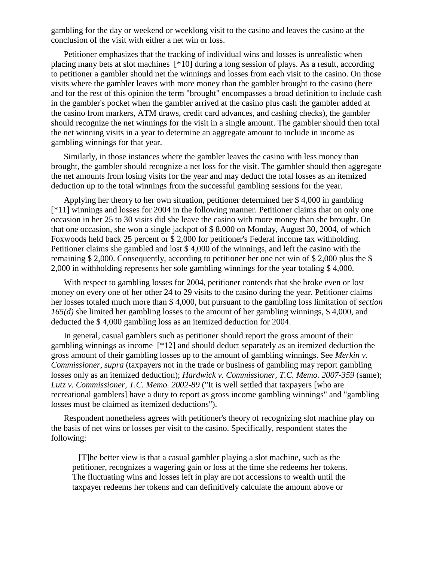gambling for the day or weekend or weeklong visit to the casino and leaves the casino at the conclusion of the visit with either a net win or loss.

Petitioner emphasizes that the tracking of individual wins and losses is unrealistic when placing many bets at slot machines [\*10] during a long session of plays. As a result, according to petitioner a gambler should net the winnings and losses from each visit to the casino. On those visits where the gambler leaves with more money than the gambler brought to the casino (here and for the rest of this opinion the term "brought" encompasses a broad definition to include cash in the gambler's pocket when the gambler arrived at the casino plus cash the gambler added at the casino from markers, ATM draws, credit card advances, and cashing checks), the gambler should recognize the net winnings for the visit in a single amount. The gambler should then total the net winning visits in a year to determine an aggregate amount to include in income as gambling winnings for that year.

Similarly, in those instances where the gambler leaves the casino with less money than brought, the gambler should recognize a net loss for the visit. The gambler should then aggregate the net amounts from losing visits for the year and may deduct the total losses as an itemized deduction up to the total winnings from the successful gambling sessions for the year.

Applying her theory to her own situation, petitioner determined her \$ 4,000 in gambling [\*11] winnings and losses for 2004 in the following manner. Petitioner claims that on only one occasion in her 25 to 30 visits did she leave the casino with more money than she brought. On that one occasion, she won a single jackpot of \$ 8,000 on Monday, August 30, 2004, of which Foxwoods held back 25 percent or \$ 2,000 for petitioner's Federal income tax withholding. Petitioner claims she gambled and lost \$ 4,000 of the winnings, and left the casino with the remaining \$ 2,000. Consequently, according to petitioner her one net win of \$ 2,000 plus the \$ 2,000 in withholding represents her sole gambling winnings for the year totaling \$ 4,000.

With respect to gambling losses for 2004, petitioner contends that she broke even or lost money on every one of her other 24 to 29 visits to the casino during the year. Petitioner claims her losses totaled much more than \$ 4,000, but pursuant to the gambling loss limitation of *section 165(d)* she limited her gambling losses to the amount of her gambling winnings, \$ 4,000, and deducted the \$ 4,000 gambling loss as an itemized deduction for 2004.

In general, casual gamblers such as petitioner should report the gross amount of their gambling winnings as income [\*12] and should deduct separately as an itemized deduction the gross amount of their gambling losses up to the amount of gambling winnings. See *Merkin v. Commissioner, supra* (taxpayers not in the trade or business of gambling may report gambling losses only as an itemized deduction); *Hardwick v. Commissioner, T.C. Memo. 2007-359* (same); *Lutz v. Commissioner, T.C. Memo. 2002-89* ("It is well settled that taxpayers [who are recreational gamblers] have a duty to report as gross income gambling winnings" and "gambling losses must be claimed as itemized deductions").

Respondent nonetheless agrees with petitioner's theory of recognizing slot machine play on the basis of net wins or losses per visit to the casino. Specifically, respondent states the following:

 [T]he better view is that a casual gambler playing a slot machine, such as the petitioner, recognizes a wagering gain or loss at the time she redeems her tokens. The fluctuating wins and losses left in play are not accessions to wealth until the taxpayer redeems her tokens and can definitively calculate the amount above or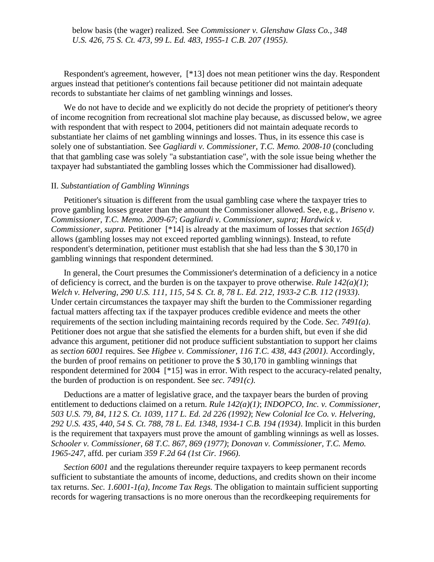below basis (the wager) realized. See *Commissioner v. Glenshaw Glass Co., 348 U.S. 426, 75 S. Ct. 473, 99 L. Ed. 483, 1955-1 C.B. 207 (1955)*.

Respondent's agreement, however, [\*13] does not mean petitioner wins the day. Respondent argues instead that petitioner's contentions fail because petitioner did not maintain adequate records to substantiate her claims of net gambling winnings and losses.

We do not have to decide and we explicitly do not decide the propriety of petitioner's theory of income recognition from recreational slot machine play because, as discussed below, we agree with respondent that with respect to 2004, petitioners did not maintain adequate records to substantiate her claims of net gambling winnings and losses. Thus, in its essence this case is solely one of substantiation. See *Gagliardi v. Commissioner, T.C. Memo. 2008-10* (concluding that that gambling case was solely "a substantiation case", with the sole issue being whether the taxpayer had substantiated the gambling losses which the Commissioner had disallowed).

#### II. *Substantiation of Gambling Winnings*

Petitioner's situation is different from the usual gambling case where the taxpayer tries to prove gambling losses greater than the amount the Commissioner allowed. See, e.g., *Briseno v. Commissioner, T.C. Memo. 2009-67*; *Gagliardi v. Commissioner, supra*; *Hardwick v. Commissioner, supra.* Petitioner [\*14] is already at the maximum of losses that *section 165(d)* allows (gambling losses may not exceed reported gambling winnings). Instead, to refute respondent's determination, petitioner must establish that she had less than the \$ 30,170 in gambling winnings that respondent determined.

In general, the Court presumes the Commissioner's determination of a deficiency in a notice of deficiency is correct, and the burden is on the taxpayer to prove otherwise. *Rule 142(a)(1)*; *Welch v. Helvering, 290 U.S. 111, 115, 54 S. Ct. 8, 78 L. Ed. 212, 1933-2 C.B. 112 (1933)*. Under certain circumstances the taxpayer may shift the burden to the Commissioner regarding factual matters affecting tax if the taxpayer produces credible evidence and meets the other requirements of the section including maintaining records required by the Code. *Sec. 7491(a)*. Petitioner does not argue that she satisfied the elements for a burden shift, but even if she did advance this argument, petitioner did not produce sufficient substantiation to support her claims as *section 6001* requires. See *Higbee v. Commissioner, 116 T.C. 438, 443 (2001)*. Accordingly, the burden of proof remains on petitioner to prove the \$ 30,170 in gambling winnings that respondent determined for 2004 [\*15] was in error. With respect to the accuracy-related penalty, the burden of production is on respondent. See *sec. 7491(c)*.

Deductions are a matter of legislative grace, and the taxpayer bears the burden of proving entitlement to deductions claimed on a return. *Rule 142(a)(1)*; *INDOPCO, Inc. v. Commissioner, 503 U.S. 79, 84, 112 S. Ct. 1039, 117 L. Ed. 2d 226 (1992)*; *New Colonial Ice Co. v. Helvering, 292 U.S. 435, 440, 54 S. Ct. 788, 78 L. Ed. 1348, 1934-1 C.B. 194 (1934)*. Implicit in this burden is the requirement that taxpayers must prove the amount of gambling winnings as well as losses. *Schooler v. Commissioner, 68 T.C. 867, 869 (1977)*; *Donovan v. Commissioner, T.C. Memo. 1965-247*, affd. per curiam *359 F.2d 64 (1st Cir. 1966)*.

*Section 6001* and the regulations thereunder require taxpayers to keep permanent records sufficient to substantiate the amounts of income, deductions, and credits shown on their income tax returns. *Sec. 1.6001-1(a), Income Tax Regs.* The obligation to maintain sufficient supporting records for wagering transactions is no more onerous than the recordkeeping requirements for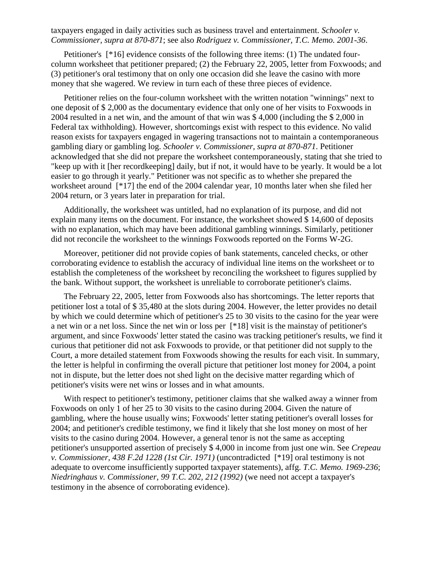## taxpayers engaged in daily activities such as business travel and entertainment. *Schooler v. Commissioner, supra at 870-871*; see also *Rodriguez v. Commissioner, T.C. Memo. 2001-36*.

Petitioner's [\*16] evidence consists of the following three items: (1) The undated fourcolumn worksheet that petitioner prepared; (2) the February 22, 2005, letter from Foxwoods; and (3) petitioner's oral testimony that on only one occasion did she leave the casino with more money that she wagered. We review in turn each of these three pieces of evidence.

Petitioner relies on the four-column worksheet with the written notation "winnings" next to one deposit of \$ 2,000 as the documentary evidence that only one of her visits to Foxwoods in 2004 resulted in a net win, and the amount of that win was \$ 4,000 (including the \$ 2,000 in Federal tax withholding). However, shortcomings exist with respect to this evidence. No valid reason exists for taxpayers engaged in wagering transactions not to maintain a contemporaneous gambling diary or gambling log. *Schooler v. Commissioner, supra at 870-871*. Petitioner acknowledged that she did not prepare the worksheet contemporaneously, stating that she tried to "keep up with it [her recordkeeping] daily, but if not, it would have to be yearly. It would be a lot easier to go through it yearly." Petitioner was not specific as to whether she prepared the worksheet around [\*17] the end of the 2004 calendar year, 10 months later when she filed her 2004 return, or 3 years later in preparation for trial.

Additionally, the worksheet was untitled, had no explanation of its purpose, and did not explain many items on the document. For instance, the worksheet showed \$ 14,600 of deposits with no explanation, which may have been additional gambling winnings. Similarly, petitioner did not reconcile the worksheet to the winnings Foxwoods reported on the Forms W-2G.

Moreover, petitioner did not provide copies of bank statements, canceled checks, or other corroborating evidence to establish the accuracy of individual line items on the worksheet or to establish the completeness of the worksheet by reconciling the worksheet to figures supplied by the bank. Without support, the worksheet is unreliable to corroborate petitioner's claims.

The February 22, 2005, letter from Foxwoods also has shortcomings. The letter reports that petitioner lost a total of \$ 35,480 at the slots during 2004. However, the letter provides no detail by which we could determine which of petitioner's 25 to 30 visits to the casino for the year were a net win or a net loss. Since the net win or loss per [\*18] visit is the mainstay of petitioner's argument, and since Foxwoods' letter stated the casino was tracking petitioner's results, we find it curious that petitioner did not ask Foxwoods to provide, or that petitioner did not supply to the Court, a more detailed statement from Foxwoods showing the results for each visit. In summary, the letter is helpful in confirming the overall picture that petitioner lost money for 2004, a point not in dispute, but the letter does not shed light on the decisive matter regarding which of petitioner's visits were net wins or losses and in what amounts.

With respect to petitioner's testimony, petitioner claims that she walked away a winner from Foxwoods on only 1 of her 25 to 30 visits to the casino during 2004. Given the nature of gambling, where the house usually wins; Foxwoods' letter stating petitioner's overall losses for 2004; and petitioner's credible testimony, we find it likely that she lost money on most of her visits to the casino during 2004. However, a general tenor is not the same as accepting petitioner's unsupported assertion of precisely \$ 4,000 in income from just one win. See *Crepeau v. Commissioner, 438 F.2d 1228 (1st Cir. 1971)* (uncontradicted [\*19] oral testimony is not adequate to overcome insufficiently supported taxpayer statements), affg. *T.C. Memo. 1969-236*; *Niedringhaus v. Commissioner, 99 T.C. 202, 212 (1992)* (we need not accept a taxpayer's testimony in the absence of corroborating evidence).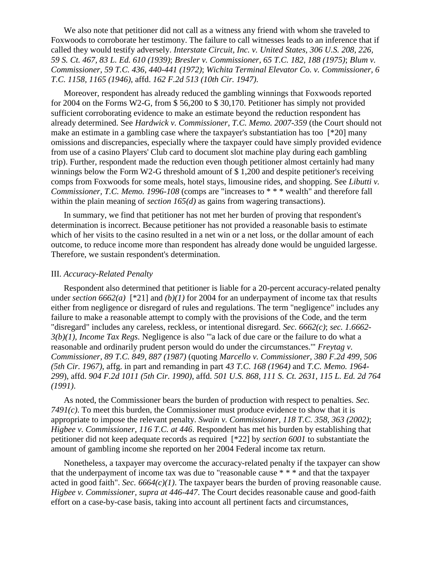We also note that petitioner did not call as a witness any friend with whom she traveled to Foxwoods to corroborate her testimony. The failure to call witnesses leads to an inference that if called they would testify adversely. *Interstate Circuit, Inc. v. United States, 306 U.S. 208, 226, 59 S. Ct. 467, 83 L. Ed. 610 (1939)*; *Bresler v. Commissioner, 65 T.C. 182, 188 (1975)*; *Blum v. Commissioner, 59 T.C. 436, 440-441 (1972)*; *Wichita Terminal Elevator Co. v. Commissioner, 6 T.C. 1158, 1165 (1946)*, affd. *162 F.2d 513 (10th Cir. 1947)*.

Moreover, respondent has already reduced the gambling winnings that Foxwoods reported for 2004 on the Forms W2-G, from \$ 56,200 to \$ 30,170. Petitioner has simply not provided sufficient corroborating evidence to make an estimate beyond the reduction respondent has already determined. See *Hardwick v. Commissioner, T.C. Memo. 2007-359* (the Court should not make an estimate in a gambling case where the taxpayer's substantiation has too [\*20] many omissions and discrepancies, especially where the taxpayer could have simply provided evidence from use of a casino Players' Club card to document slot machine play during each gambling trip). Further, respondent made the reduction even though petitioner almost certainly had many winnings below the Form W2-G threshold amount of \$ 1,200 and despite petitioner's receiving comps from Foxwoods for some meals, hotel stays, limousine rides, and shopping. See *Libutti v. Commissioner, T.C. Memo. 1996-108* (comps are "increases to \* \* \* wealth" and therefore fall within the plain meaning of *section 165(d)* as gains from wagering transactions).

In summary, we find that petitioner has not met her burden of proving that respondent's determination is incorrect. Because petitioner has not provided a reasonable basis to estimate which of her visits to the casino resulted in a net win or a net loss, or the dollar amount of each outcome, to reduce income more than respondent has already done would be unguided largesse. Therefore, we sustain respondent's determination.

### III. *Accuracy-Related Penalty*

Respondent also determined that petitioner is liable for a 20-percent accuracy-related penalty under *section 6662(a)* [\*21] and *(b)(1)* for 2004 for an underpayment of income tax that results either from negligence or disregard of rules and regulations. The term "negligence" includes any failure to make a reasonable attempt to comply with the provisions of the Code, and the term "disregard" includes any careless, reckless, or intentional disregard. *Sec. 6662(c)*; *sec. 1.6662- 3(b)(1), Income Tax Regs.* Negligence is also "'a lack of due care or the failure to do what a reasonable and ordinarily prudent person would do under the circumstances.'" *Freytag v. Commissioner, 89 T.C. 849, 887 (1987)* (quoting *Marcello v. Commissioner, 380 F.2d 499, 506 (5th Cir. 1967)*, affg. in part and remanding in part *43 T.C. 168 (1964)* and *T.C. Memo. 1964- 299*), affd. *904 F.2d 1011 (5th Cir. 1990)*, affd. *501 U.S. 868, 111 S. Ct. 2631, 115 L. Ed. 2d 764 (1991)*.

As noted, the Commissioner bears the burden of production with respect to penalties. *Sec. 7491(c)*. To meet this burden, the Commissioner must produce evidence to show that it is appropriate to impose the relevant penalty. *Swain v. Commissioner, 118 T.C. 358, 363 (2002)*; *Higbee v. Commissioner, 116 T.C. at 446*. Respondent has met his burden by establishing that petitioner did not keep adequate records as required [\*22] by *section 6001* to substantiate the amount of gambling income she reported on her 2004 Federal income tax return.

Nonetheless, a taxpayer may overcome the accuracy-related penalty if the taxpayer can show that the underpayment of income tax was due to "reasonable cause \* \* \* and that the taxpayer acted in good faith". *Sec. 6664(c)(1)*. The taxpayer bears the burden of proving reasonable cause. *Higbee v. Commissioner, supra at 446-447*. The Court decides reasonable cause and good-faith effort on a case-by-case basis, taking into account all pertinent facts and circumstances,